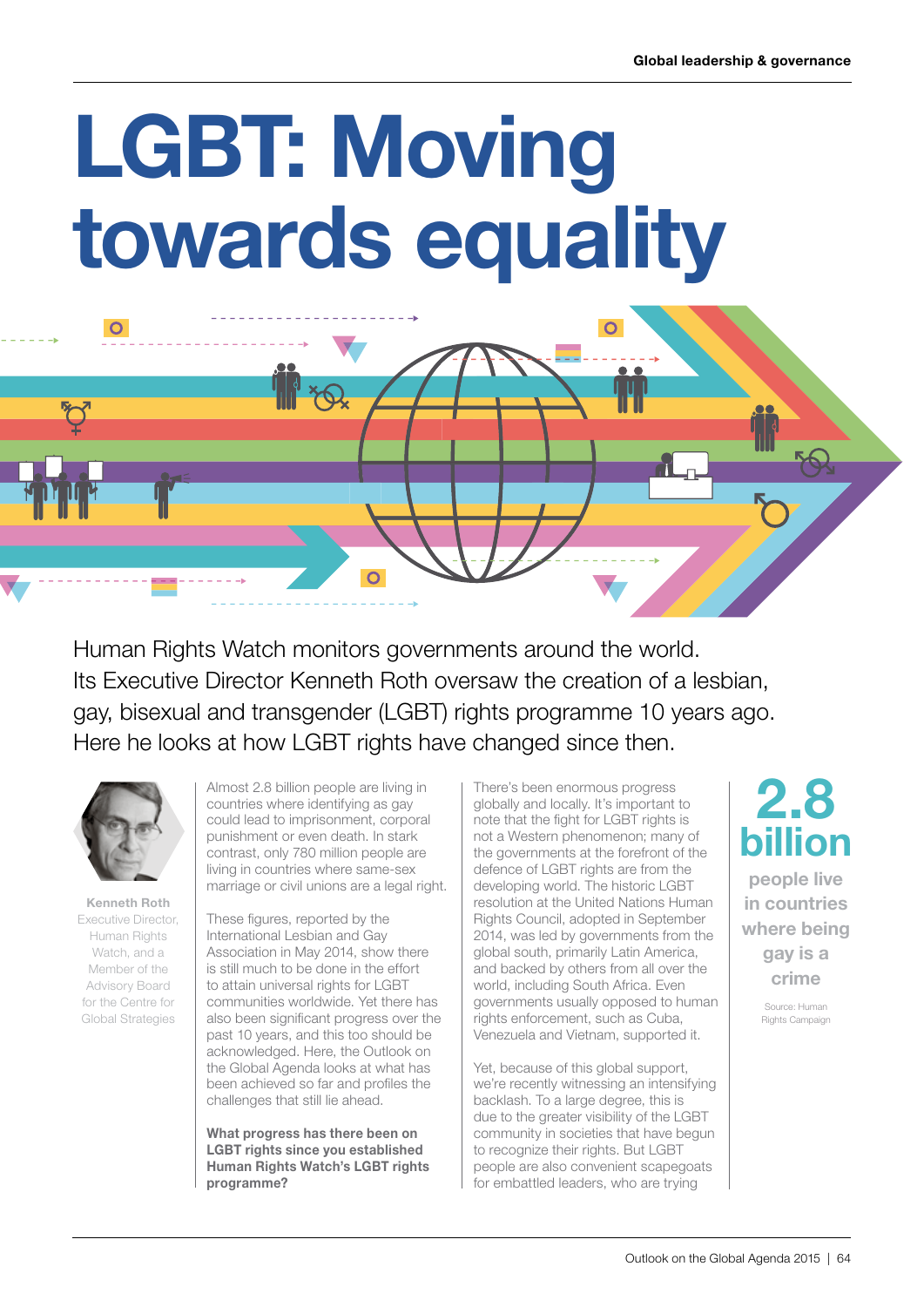## LGBT: Moving towards equality

Human Rights Watch monitors governments around the world. Its Executive Director Kenneth Roth oversaw the creation of a lesbian, gay, bisexual and transgender (LGBT) rights programme 10 years ago. Here he looks at how LGBT rights have changed since then.

 $\overline{O}$ 



 $\overline{O}$ 

Kenneth Roth Executive Director, Human Rights Watch, and a Member of the Advisory Board for the Centre for Global Strategies

Almost 2.8 billion people are living in countries where identifying as gay could lead to imprisonment, corporal punishment or even death. In stark contrast, only 780 million people are living in countries where same-sex marriage or civil unions are a legal right.

These figures, reported by the International Lesbian and Gay Association in May 2014, show there is still much to be done in the effort to attain universal rights for LGBT communities worldwide. Yet there has also been significant progress over the past 10 years, and this too should be acknowledged. Here, the Outlook on the Global Agenda looks at what has been achieved so far and profiles the challenges that still lie ahead.

What progress has there been on LGBT rights since you established Human Rights Watch's LGBT rights programme?

There's been enormous progress globally and locally. It's important to note that the fight for LGBT rights is not a Western phenomenon; many of the governments at the forefront of the defence of LGBT rights are from the developing world. The historic LGBT resolution at the United Nations Human Rights Council, adopted in September 2014, was led by governments from the global south, primarily Latin America, and backed by others from all over the world, including South Africa. Even governments usually opposed to human rights enforcement, such as Cuba, Venezuela and Vietnam, supported it.

Yet, because of this global support, we're recently witnessing an intensifying backlash. To a large degree, this is due to the greater visibility of the LGBT community in societies that have begun to recognize their rights. But LGBT people are also convenient scapegoats for embattled leaders, who are trying

## 2.8 billion

people live in countries where being gay is a crime

> Source: Human Rights Campaign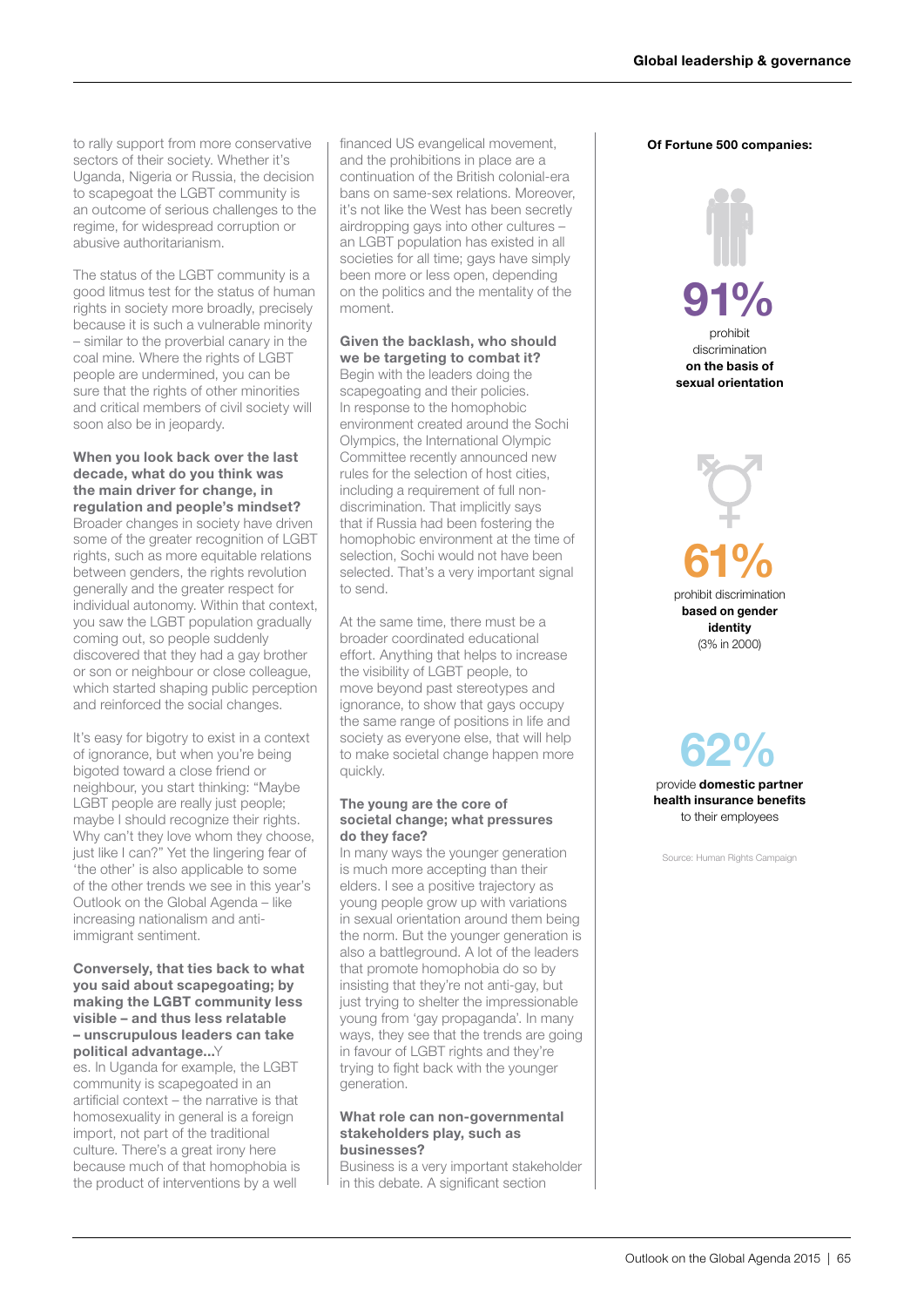to rally support from more conservative sectors of their society. Whether it's Uganda, Nigeria or Russia, the decision to scapegoat the LGBT community is an outcome of serious challenges to the regime, for widespread corruption or abusive authoritarianism.

The status of the LGBT community is a good litmus test for the status of human rights in society more broadly, precisely because it is such a vulnerable minority – similar to the proverbial canary in the coal mine. Where the rights of LGBT people are undermined, you can be sure that the rights of other minorities and critical members of civil society will soon also be in jeopardy.

When you look back over the last decade, what do you think was the main driver for change, in regulation and people's mindset? Broader changes in society have driven some of the greater recognition of LGBT rights, such as more equitable relations between genders, the rights revolution generally and the greater respect for individual autonomy. Within that context, you saw the LGBT population gradually coming out, so people suddenly discovered that they had a gay brother or son or neighbour or close colleague, which started shaping public perception and reinforced the social changes.

It's easy for bigotry to exist in a context of ignorance, but when you're being bigoted toward a close friend or neighbour, you start thinking: "Maybe LGBT people are really just people; maybe I should recognize their rights. Why can't they love whom they choose, just like I can?" Yet the lingering fear of 'the other' is also applicable to some of the other trends we see in this year's Outlook on the Global Agenda – like increasing nationalism and antiimmigrant sentiment.

## Conversely, that ties back to what you said about scapegoating; by making the LGBT community less visible – and thus less relatable – unscrupulous leaders can take political advantage...Y

es. In Uganda for example, the LGBT community is scapegoated in an artificial context – the narrative is that homosexuality in general is a foreign import, not part of the traditional culture. There's a great irony here because much of that homophobia is the product of interventions by a well

financed US evangelical movement, and the prohibitions in place are a continuation of the British colonial-era bans on same-sex relations. Moreover, it's not like the West has been secretly airdropping gays into other cultures – an LGBT population has existed in all societies for all time; gays have simply been more or less open, depending on the politics and the mentality of the moment.

## Given the backlash, who should we be targeting to combat it?

Begin with the leaders doing the scapegoating and their policies. In response to the homophobic environment created around the Sochi Olympics, the International Olympic Committee recently announced new rules for the selection of host cities, including a requirement of full nondiscrimination. That implicitly says that if Russia had been fostering the homophobic environment at the time of selection, Sochi would not have been selected. That's a very important signal to send.

At the same time, there must be a broader coordinated educational effort. Anything that helps to increase the visibility of LGBT people, to move beyond past stereotypes and ignorance, to show that gays occupy the same range of positions in life and society as everyone else, that will help to make societal change happen more quickly.

## The young are the core of societal change; what pressures do they face?

In many ways the younger generation is much more accepting than their elders. I see a positive trajectory as young people grow up with variations in sexual orientation around them being the norm. But the younger generation is also a battleground. A lot of the leaders that promote homophobia do so by insisting that they're not anti-gay, but just trying to shelter the impressionable young from 'gay propaganda'. In many ways, they see that the trends are going in favour of LGBT rights and they're trying to fight back with the younger generation.

### What role can non-governmental stakeholders play, such as businesses?

Business is a very important stakeholder in this debate. A significant section

## Of Fortune 500 companies:

# 91%

prohibit discrimination on the basis of sexual orientation



provide domestic partner health insurance benefits to their employees 62%

Source: Human Rights Campaign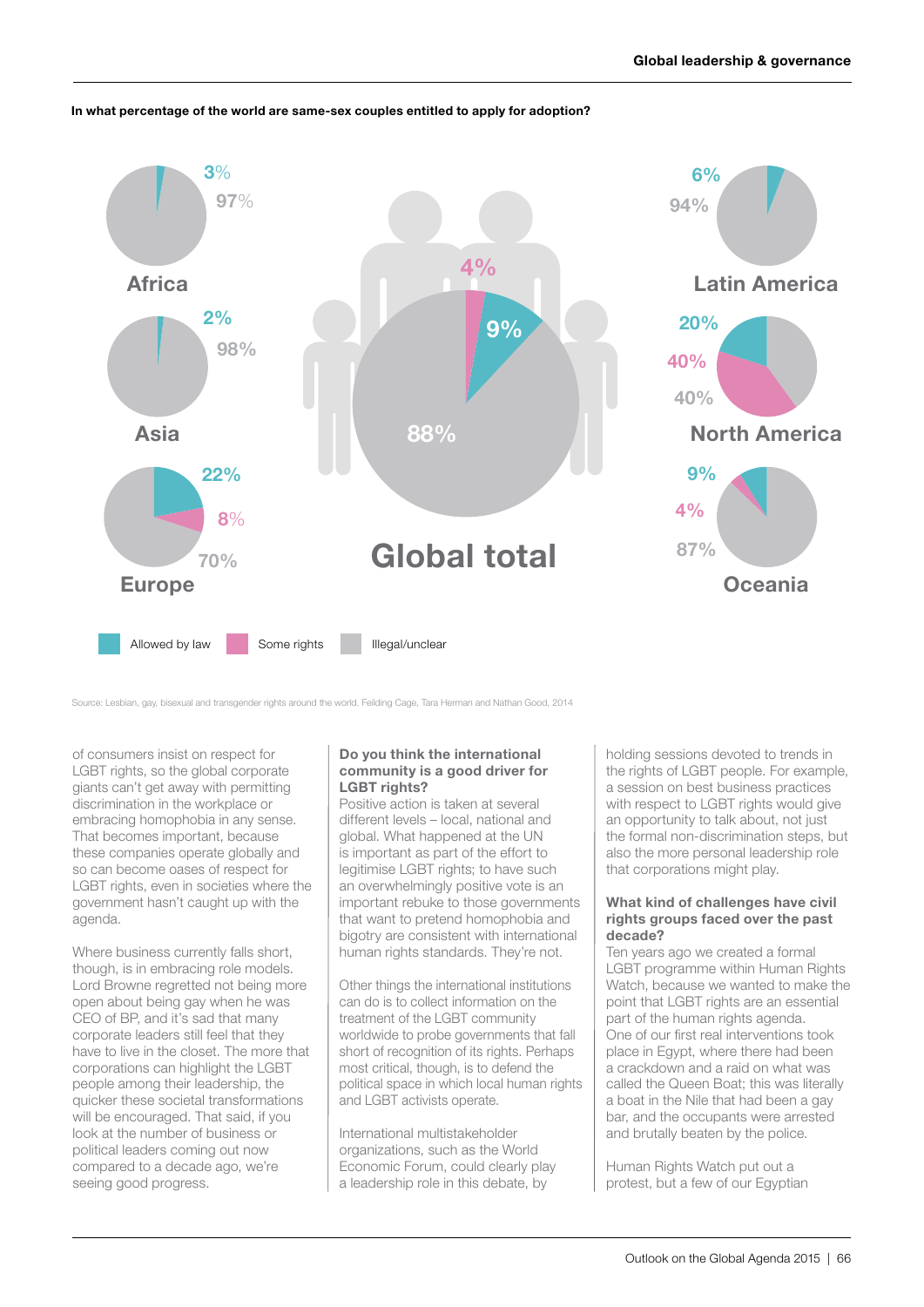## In what percentage of the world are same-sex couples entitled to apply for adoption?



Source: Lesbian, gay, bisexual and transgender rights around the world. Feilding Cage, Tara Herman and Nathan Good, 2014

of consumers insist on respect for LGBT rights, so the global corporate giants can't get away with permitting discrimination in the workplace or embracing homophobia in any sense. That becomes important, because these companies operate globally and so can become oases of respect for LGBT rights, even in societies where the government hasn't caught up with the agenda.

Where business currently falls short, though, is in embracing role models. Lord Browne regretted not being more open about being gay when he was CEO of BP, and it's sad that many corporate leaders still feel that they have to live in the closet. The more that corporations can highlight the LGBT people among their leadership, the quicker these societal transformations will be encouraged. That said, if you look at the number of business or political leaders coming out now compared to a decade ago, we're seeing good progress.

## Do you think the international community is a good driver for LGBT rights?

Positive action is taken at several different levels – local, national and global. What happened at the UN is important as part of the effort to legitimise LGBT rights; to have such an overwhelmingly positive vote is an important rebuke to those governments that want to pretend homophobia and bigotry are consistent with international human rights standards. They're not.

Other things the international institutions can do is to collect information on the treatment of the LGBT community worldwide to probe governments that fall short of recognition of its rights. Perhaps most critical, though, is to defend the political space in which local human rights and LGBT activists operate.

International multistakeholder organizations, such as the World Economic Forum, could clearly play a leadership role in this debate, by

holding sessions devoted to trends in the rights of LGBT people. For example, a session on best business practices with respect to LGBT rights would give an opportunity to talk about, not just the formal non-discrimination steps, but also the more personal leadership role that corporations might play.

## What kind of challenges have civil rights groups faced over the past decade?

Ten years ago we created a formal LGBT programme within Human Rights Watch, because we wanted to make the point that LGBT rights are an essential part of the human rights agenda. One of our first real interventions took place in Egypt, where there had been a crackdown and a raid on what was called the Queen Boat; this was literally a boat in the Nile that had been a gay bar, and the occupants were arrested and brutally beaten by the police.

Human Rights Watch put out a protest, but a few of our Egyptian